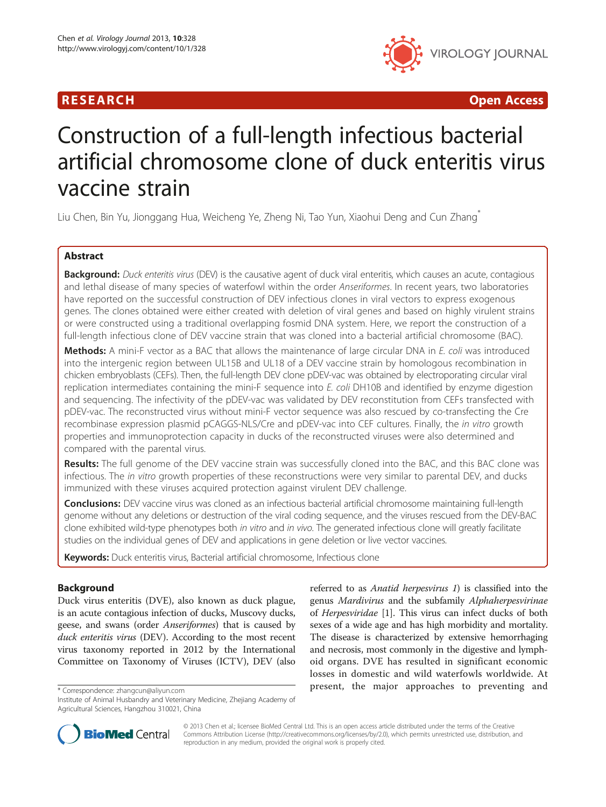

R E S EAR CH Open Access

# Construction of a full-length infectious bacterial artificial chromosome clone of duck enteritis virus vaccine strain

Liu Chen, Bin Yu, Jionggang Hua, Weicheng Ye, Zheng Ni, Tao Yun, Xiaohui Deng and Cun Zhang\*

# Abstract

Background: Duck enteritis virus (DEV) is the causative agent of duck viral enteritis, which causes an acute, contagious and lethal disease of many species of waterfowl within the order Anseriformes. In recent years, two laboratories have reported on the successful construction of DEV infectious clones in viral vectors to express exogenous genes. The clones obtained were either created with deletion of viral genes and based on highly virulent strains or were constructed using a traditional overlapping fosmid DNA system. Here, we report the construction of a full-length infectious clone of DEV vaccine strain that was cloned into a bacterial artificial chromosome (BAC).

Methods: A mini-F vector as a BAC that allows the maintenance of large circular DNA in E. coli was introduced into the intergenic region between UL15B and UL18 of a DEV vaccine strain by homologous recombination in chicken embryoblasts (CEFs). Then, the full-length DEV clone pDEV-vac was obtained by electroporating circular viral replication intermediates containing the mini-F sequence into E. coli DH10B and identified by enzyme digestion and sequencing. The infectivity of the pDEV-vac was validated by DEV reconstitution from CEFs transfected with pDEV-vac. The reconstructed virus without mini-F vector sequence was also rescued by co-transfecting the Cre recombinase expression plasmid pCAGGS-NLS/Cre and pDEV-vac into CEF cultures. Finally, the in vitro growth properties and immunoprotection capacity in ducks of the reconstructed viruses were also determined and compared with the parental virus.

Results: The full genome of the DEV vaccine strain was successfully cloned into the BAC, and this BAC clone was infectious. The in vitro growth properties of these reconstructions were very similar to parental DEV, and ducks immunized with these viruses acquired protection against virulent DEV challenge.

Conclusions: DEV vaccine virus was cloned as an infectious bacterial artificial chromosome maintaining full-length genome without any deletions or destruction of the viral coding sequence, and the viruses rescued from the DEV-BAC clone exhibited wild-type phenotypes both in vitro and in vivo. The generated infectious clone will greatly facilitate studies on the individual genes of DEV and applications in gene deletion or live vector vaccines.

Keywords: Duck enteritis virus, Bacterial artificial chromosome, Infectious clone

# Background

Duck virus enteritis (DVE), also known as duck plague, is an acute contagious infection of ducks, Muscovy ducks, geese, and swans (order *Anseriformes*) that is caused by duck enteritis virus (DEV). According to the most recent virus taxonomy reported in 2012 by the International Committee on Taxonomy of Viruses (ICTV), DEV (also

referred to as Anatid herpesvirus 1) is classified into the genus Mardivirus and the subfamily Alphaherpesvirinae of Herpesviridae [\[1](#page-8-0)]. This virus can infect ducks of both sexes of a wide age and has high morbidity and mortality. The disease is characterized by extensive hemorrhaging and necrosis, most commonly in the digestive and lymphoid organs. DVE has resulted in significant economic losses in domestic and wild waterfowls worldwide. At present, the major approaches to preventing and \* Correspondence: [zhangcun@aliyun.com](mailto:zhangcun@aliyun.com)



© 2013 Chen et al.; licensee BioMed Central Ltd. This is an open access article distributed under the terms of the Creative Commons Attribution License [\(http://creativecommons.org/licenses/by/2.0\)](http://creativecommons.org/licenses/by/2.0), which permits unrestricted use, distribution, and reproduction in any medium, provided the original work is properly cited.

Institute of Animal Husbandry and Veterinary Medicine, Zhejiang Academy of Agricultural Sciences, Hangzhou 310021, China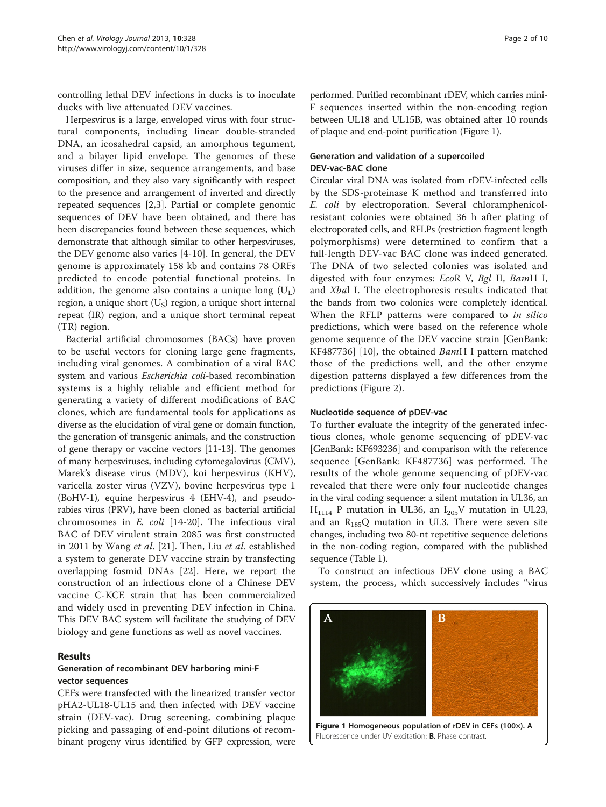controlling lethal DEV infections in ducks is to inoculate ducks with live attenuated DEV vaccines.

Herpesvirus is a large, enveloped virus with four structural components, including linear double-stranded DNA, an icosahedral capsid, an amorphous tegument, and a bilayer lipid envelope. The genomes of these viruses differ in size, sequence arrangements, and base composition, and they also vary significantly with respect to the presence and arrangement of inverted and directly repeated sequences [\[2,3](#page-8-0)]. Partial or complete genomic sequences of DEV have been obtained, and there has been discrepancies found between these sequences, which demonstrate that although similar to other herpesviruses, the DEV genome also varies [\[4](#page-8-0)-[10\]](#page-8-0). In general, the DEV genome is approximately 158 kb and contains 78 ORFs predicted to encode potential functional proteins. In addition, the genome also contains a unique long  $(U<sub>L</sub>)$ region, a unique short  $(U<sub>S</sub>)$  region, a unique short internal repeat (IR) region, and a unique short terminal repeat (TR) region.

Bacterial artificial chromosomes (BACs) have proven to be useful vectors for cloning large gene fragments, including viral genomes. A combination of a viral BAC system and various Escherichia coli-based recombination systems is a highly reliable and efficient method for generating a variety of different modifications of BAC clones, which are fundamental tools for applications as diverse as the elucidation of viral gene or domain function, the generation of transgenic animals, and the construction of gene therapy or vaccine vectors [\[11-13](#page-8-0)]. The genomes of many herpesviruses, including cytomegalovirus (CMV), Marek's disease virus (MDV), koi herpesvirus (KHV), varicella zoster virus (VZV), bovine herpesvirus type 1 (BoHV-1), equine herpesvirus 4 (EHV-4), and pseudorabies virus (PRV), have been cloned as bacterial artificial chromosomes in E. coli [[14](#page-8-0)-[20\]](#page-9-0). The infectious viral BAC of DEV virulent strain 2085 was first constructed in 2011 by Wang et al. [[21\]](#page-9-0). Then, Liu et al. established a system to generate DEV vaccine strain by transfecting overlapping fosmid DNAs [[22\]](#page-9-0). Here, we report the construction of an infectious clone of a Chinese DEV vaccine C-KCE strain that has been commercialized and widely used in preventing DEV infection in China. This DEV BAC system will facilitate the studying of DEV biology and gene functions as well as novel vaccines.

# Results

#### Generation of recombinant DEV harboring mini-F vector sequences

CEFs were transfected with the linearized transfer vector pHA2-UL18-UL15 and then infected with DEV vaccine strain (DEV-vac). Drug screening, combining plaque picking and passaging of end-point dilutions of recombinant progeny virus identified by GFP expression, were

performed. Purified recombinant rDEV, which carries mini-F sequences inserted within the non-encoding region between UL18 and UL15B, was obtained after 10 rounds of plaque and end-point purification (Figure 1).

# Generation and validation of a supercoiled DEV-vac-BAC clone

Circular viral DNA was isolated from rDEV-infected cells by the SDS-proteinase K method and transferred into E. coli by electroporation. Several chloramphenicolresistant colonies were obtained 36 h after plating of electroporated cells, and RFLPs (restriction fragment length polymorphisms) were determined to confirm that a full-length DEV-vac BAC clone was indeed generated. The DNA of two selected colonies was isolated and digested with four enzymes: EcoR V, Bgl II, BamH I, and Xbal I. The electrophoresis results indicated that the bands from two colonies were completely identical. When the RFLP patterns were compared to in silico predictions, which were based on the reference whole genome sequence of the DEV vaccine strain [GenBank: KF487736] [[10\]](#page-8-0), the obtained *BamH* I pattern matched those of the predictions well, and the other enzyme digestion patterns displayed a few differences from the predictions (Figure [2\)](#page-2-0).

#### Nucleotide sequence of pDEV-vac

To further evaluate the integrity of the generated infectious clones, whole genome sequencing of pDEV-vac [GenBank: KF693236] and comparison with the reference sequence [GenBank: KF487736] was performed. The results of the whole genome sequencing of pDEV-vac revealed that there were only four nucleotide changes in the viral coding sequence: a silent mutation in UL36, an  $H_{1114}$  P mutation in UL36, an  $I_{205}V$  mutation in UL23, and an  $R_{185}Q$  mutation in UL3. There were seven site changes, including two 80-nt repetitive sequence deletions in the non-coding region, compared with the published sequence (Table [1](#page-3-0)).

To construct an infectious DEV clone using a BAC system, the process, which successively includes "virus

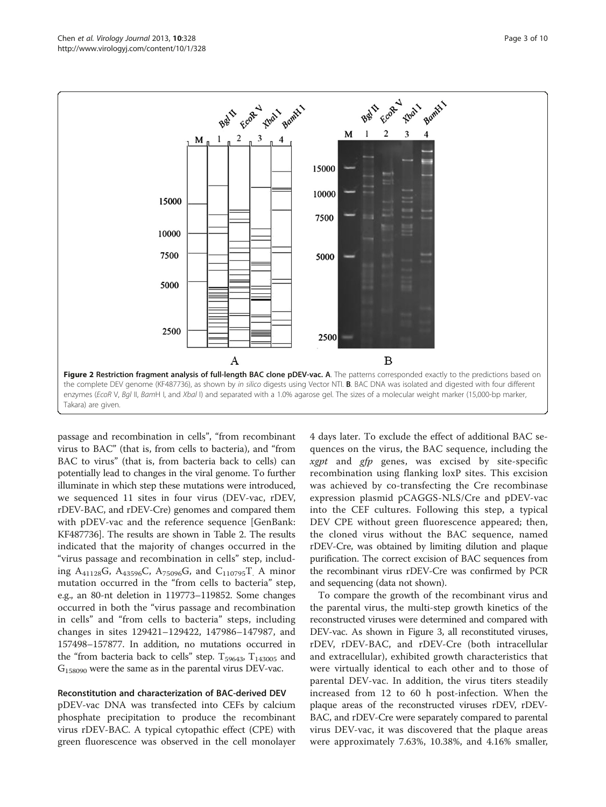<span id="page-2-0"></span>

passage and recombination in cells", "from recombinant virus to BAC" (that is, from cells to bacteria), and "from BAC to virus" (that is, from bacteria back to cells) can potentially lead to changes in the viral genome. To further illuminate in which step these mutations were introduced, we sequenced 11 sites in four virus (DEV-vac, rDEV, rDEV-BAC, and rDEV-Cre) genomes and compared them with pDEV-vac and the reference sequence [GenBank: KF487736]. The results are shown in Table [2.](#page-4-0) The results indicated that the majority of changes occurred in the "virus passage and recombination in cells" step, including A<sub>41128</sub>G, A<sub>43596</sub>C, A<sub>75096</sub>G, and C<sub>110795</sub>T. A minor mutation occurred in the "from cells to bacteria" step, e.g., an 80-nt deletion in 119773–119852. Some changes occurred in both the "virus passage and recombination in cells" and "from cells to bacteria" steps, including changes in sites 129421–129422, 147986–147987, and 157498–157877. In addition, no mutations occurred in the "from bacteria back to cells" step.  $T_{59643}$ ,  $T_{143005}$  and  $G_{158090}$  were the same as in the parental virus DEV-vac.

#### Reconstitution and characterization of BAC-derived DEV

pDEV-vac DNA was transfected into CEFs by calcium phosphate precipitation to produce the recombinant virus rDEV-BAC. A typical cytopathic effect (CPE) with green fluorescence was observed in the cell monolayer

4 days later. To exclude the effect of additional BAC sequences on the virus, the BAC sequence, including the *xgpt* and  $gfp$  genes, was excised by site-specific recombination using flanking loxP sites. This excision was achieved by co-transfecting the Cre recombinase expression plasmid pCAGGS-NLS/Cre and pDEV-vac into the CEF cultures. Following this step, a typical DEV CPE without green fluorescence appeared; then, the cloned virus without the BAC sequence, named rDEV-Cre, was obtained by limiting dilution and plaque purification. The correct excision of BAC sequences from the recombinant virus rDEV-Cre was confirmed by PCR and sequencing (data not shown).

To compare the growth of the recombinant virus and the parental virus, the multi-step growth kinetics of the reconstructed viruses were determined and compared with DEV-vac. As shown in Figure [3,](#page-5-0) all reconstituted viruses, rDEV, rDEV-BAC, and rDEV-Cre (both intracellular and extracellular), exhibited growth characteristics that were virtually identical to each other and to those of parental DEV-vac. In addition, the virus titers steadily increased from 12 to 60 h post-infection. When the plaque areas of the reconstructed viruses rDEV, rDEV-BAC, and rDEV-Cre were separately compared to parental virus DEV-vac, it was discovered that the plaque areas were approximately 7.63%, 10.38%, and 4.16% smaller,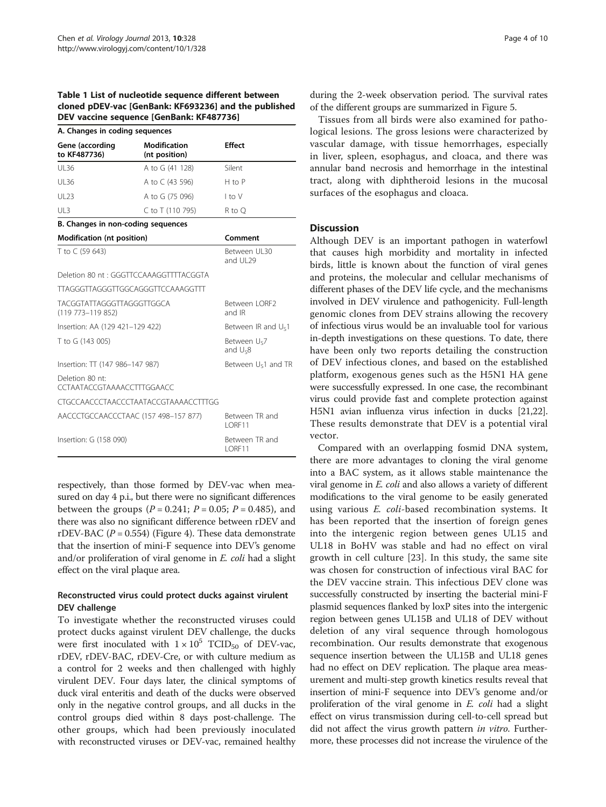<span id="page-3-0"></span>Table 1 List of nucleotide sequence different between cloned pDEV-vac [GenBank: KF693236] and the published DEV vaccine sequence [GenBank: KF487736]

| A. Changes in coding sequences                          |                                          |                             |  |  |  |
|---------------------------------------------------------|------------------------------------------|-----------------------------|--|--|--|
| Gene (according<br>to KF487736)                         | Modification<br>(nt position)            | <b>Effect</b>               |  |  |  |
| UI 36                                                   | A to G (41 128)                          | Silent                      |  |  |  |
| UI 36                                                   | A to C (43 596)                          | H to P                      |  |  |  |
| UI 23                                                   | A to G (75 096)                          | I to V                      |  |  |  |
| U13                                                     | C to T (110 795)                         | R to Q                      |  |  |  |
| B. Changes in non-coding sequences                      |                                          |                             |  |  |  |
| <b>Modification (nt position)</b>                       |                                          | Comment                     |  |  |  |
| T to C (59 643)                                         |                                          | Between UL30<br>and UL29    |  |  |  |
|                                                         | Deletion 80 nt: GGGTTCCAAAGGTTTTACGGTA   |                             |  |  |  |
|                                                         | <b>TTAGGGTTAGGGTTGGCAGGGTTCCAAAGGTTT</b> |                             |  |  |  |
| <b>TACGGTATTAGGGTTAGGGTTGGCA</b><br>$(119773 - 119852)$ |                                          | Between   ORF2<br>and IR    |  |  |  |
| Insertion: AA (129 421-129 422)                         |                                          | Between IR and $U_{S}1$     |  |  |  |
| T to G (143 005)                                        |                                          | Between Us7<br>and $U_{58}$ |  |  |  |
| Insertion: TT (147 986-147 987)                         |                                          | Between $U_{5}1$ and TR     |  |  |  |
| Deletion 80 nt:<br>CCTAATACCGTAAAACCTTTGGAACC           |                                          |                             |  |  |  |
|                                                         | CTGCCAACCCTAACCCTAATACCGTAAAACCTTTGG     |                             |  |  |  |
| AACCCTGCCAACCCTAAC (157 498-157 877)                    |                                          | Between TR and<br>I ORF11   |  |  |  |
| Insertion: G (158 090)                                  |                                          | Between TR and<br>LORF11    |  |  |  |

respectively, than those formed by DEV-vac when measured on day 4 p.i., but there were no significant differences between the groups ( $P = 0.241$ ;  $P = 0.05$ ;  $P = 0.485$ ), and there was also no significant difference between rDEV and rDEV-BAC ( $P = 0.554$ ) (Figure [4](#page-5-0)). These data demonstrate that the insertion of mini-F sequence into DEV's genome and/or proliferation of viral genome in E. coli had a slight effect on the viral plaque area.

# Reconstructed virus could protect ducks against virulent DEV challenge

To investigate whether the reconstructed viruses could protect ducks against virulent DEV challenge, the ducks were first inoculated with  $1 \times 10^5$  TCID<sub>50</sub> of DEV-vac, rDEV, rDEV-BAC, rDEV-Cre, or with culture medium as a control for 2 weeks and then challenged with highly virulent DEV. Four days later, the clinical symptoms of duck viral enteritis and death of the ducks were observed only in the negative control groups, and all ducks in the control groups died within 8 days post-challenge. The other groups, which had been previously inoculated with reconstructed viruses or DEV-vac, remained healthy during the 2-week observation period. The survival rates of the different groups are summarized in Figure [5](#page-5-0).

Tissues from all birds were also examined for pathological lesions. The gross lesions were characterized by vascular damage, with tissue hemorrhages, especially in liver, spleen, esophagus, and cloaca, and there was annular band necrosis and hemorrhage in the intestinal tract, along with diphtheroid lesions in the mucosal surfaces of the esophagus and cloaca.

# **Discussion**

Although DEV is an important pathogen in waterfowl that causes high morbidity and mortality in infected birds, little is known about the function of viral genes and proteins, the molecular and cellular mechanisms of different phases of the DEV life cycle, and the mechanisms involved in DEV virulence and pathogenicity. Full-length genomic clones from DEV strains allowing the recovery of infectious virus would be an invaluable tool for various in-depth investigations on these questions. To date, there have been only two reports detailing the construction of DEV infectious clones, and based on the established platform, exogenous genes such as the H5N1 HA gene were successfully expressed. In one case, the recombinant virus could provide fast and complete protection against H5N1 avian influenza virus infection in ducks [\[21,22](#page-9-0)]. These results demonstrate that DEV is a potential viral vector.

Compared with an overlapping fosmid DNA system, there are more advantages to cloning the viral genome into a BAC system, as it allows stable maintenance the viral genome in E. coli and also allows a variety of different modifications to the viral genome to be easily generated using various E. coli-based recombination systems. It has been reported that the insertion of foreign genes into the intergenic region between genes UL15 and UL18 in BoHV was stable and had no effect on viral growth in cell culture [[23\]](#page-9-0). In this study, the same site was chosen for construction of infectious viral BAC for the DEV vaccine strain. This infectious DEV clone was successfully constructed by inserting the bacterial mini-F plasmid sequences flanked by loxP sites into the intergenic region between genes UL15B and UL18 of DEV without deletion of any viral sequence through homologous recombination. Our results demonstrate that exogenous sequence insertion between the UL15B and UL18 genes had no effect on DEV replication. The plaque area measurement and multi-step growth kinetics results reveal that insertion of mini-F sequence into DEV's genome and/or proliferation of the viral genome in E. coli had a slight effect on virus transmission during cell-to-cell spread but did not affect the virus growth pattern *in vitro*. Furthermore, these processes did not increase the virulence of the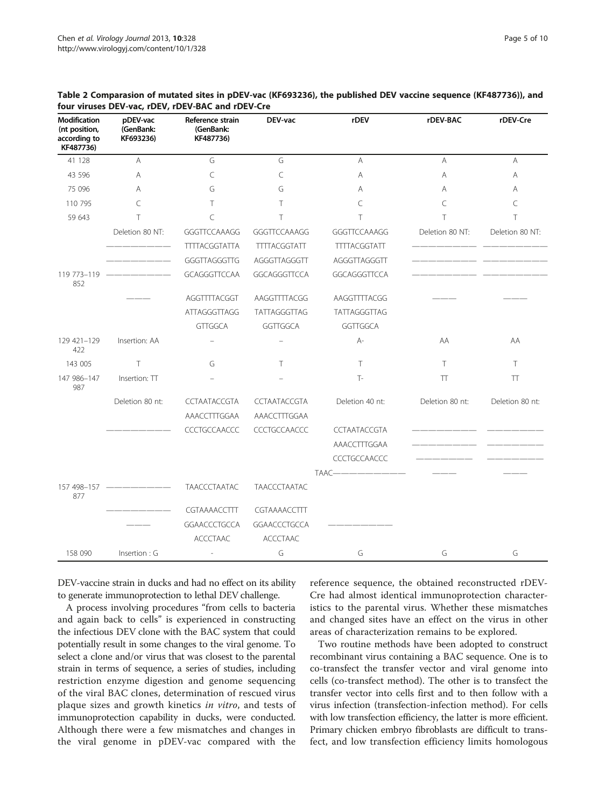| <b>Modification</b><br>(nt position,<br>according to<br>KF487736) | pDEV-vac<br>(GenBank:<br>KF693236) | Reference strain<br>(GenBank:<br>KF487736) | DEV-vac             | rDEV                | rDEV-BAC        | rDEV-Cre        |
|-------------------------------------------------------------------|------------------------------------|--------------------------------------------|---------------------|---------------------|-----------------|-----------------|
| 41 128                                                            | A                                  | G                                          | G                   | A                   | A               | A               |
| 43 596                                                            | Α                                  | $\subset$                                  | C                   | Α                   | A               | A               |
| 75 096                                                            | Α                                  | G                                          | G                   | A                   | A               | A               |
| 110 795                                                           | C                                  | Τ                                          | Τ                   | C                   | C               | C               |
| 59 643                                                            | т                                  | $\subset$                                  | T                   | T                   | T               | T               |
|                                                                   | Deletion 80 NT:                    | GGGTTCCAAAGG                               | GGGTTCCAAAGG        | GGGTTCCAAAGG        | Deletion 80 NT: | Deletion 80 NT: |
|                                                                   |                                    | <b>TTTTACGGTATTA</b>                       | <b>TITTACGGTATT</b> | <b>TTTTACGGTATT</b> |                 |                 |
|                                                                   |                                    | GGGTTAGGGTTG                               | AGGGTTAGGGTT        | AGGGTTAGGGTT        |                 |                 |
| 119 773-119<br>852                                                |                                    | GCAGGGTTCCAA                               | GGCAGGGTTCCA        | GGCAGGGTTCCA        |                 |                 |
|                                                                   |                                    | AGGTTTTACGGT                               | AAGGTTTTACGG        | AAGGTTTTACGG        |                 |                 |
|                                                                   |                                    | ATTAGGGTTAGG                               | TATTAGGGTTAG        | TATTAGGGTTAG        |                 |                 |
|                                                                   |                                    | <b>GTTGGCA</b>                             | GGTTGGCA            | GGTTGGCA            |                 |                 |
| 129 421-129<br>422                                                | Insertion: AA                      |                                            |                     | $A-$                | AA              | AA              |
| 143 005                                                           | T                                  | G                                          | T                   | T                   | T.              | T.              |
| 147 986-147<br>987                                                | Insertion: TT                      |                                            |                     | $T -$               | TT              | TT              |
|                                                                   | Deletion 80 nt:                    | CCTAATACCGTA                               | CCTAATACCGTA        | Deletion 40 nt:     | Deletion 80 nt: | Deletion 80 nt: |
|                                                                   |                                    | AAACCTTTGGAA                               | AAACCTTTGGAA        |                     |                 |                 |
|                                                                   |                                    | CCCTGCCAACCC                               | CCCTGCCAACCC        | CCTAATACCGTA        |                 |                 |
|                                                                   |                                    |                                            |                     | AAACCTTTGGAA        |                 |                 |
|                                                                   |                                    |                                            |                     | CCCTGCCAACCC        |                 |                 |
|                                                                   |                                    |                                            |                     | TAAC-               |                 |                 |
| 157 498-157<br>877                                                |                                    | <b>TAACCCTAATAC</b>                        | <b>TAACCCTAATAC</b> |                     |                 |                 |
|                                                                   |                                    | CGTAAAACCTTT                               | CGTAAAACCTTT        |                     |                 |                 |
|                                                                   |                                    | GGAACCCTGCCA                               | GGAACCCTGCCA        |                     |                 |                 |
|                                                                   |                                    | <b>ACCCTAAC</b>                            | <b>ACCCTAAC</b>     |                     |                 |                 |
| 158 090                                                           | Insertion : G                      | ٠                                          | G                   | G                   | G               | G               |

#### <span id="page-4-0"></span>Table 2 Comparasion of mutated sites in pDEV-vac (KF693236), the published DEV vaccine sequence (KF487736)), and four viruses DEV-vac, rDEV, rDEV-BAC and rDEV-Cre

DEV-vaccine strain in ducks and had no effect on its ability to generate immunoprotection to lethal DEV challenge.

A process involving procedures "from cells to bacteria and again back to cells" is experienced in constructing the infectious DEV clone with the BAC system that could potentially result in some changes to the viral genome. To select a clone and/or virus that was closest to the parental strain in terms of sequence, a series of studies, including restriction enzyme digestion and genome sequencing of the viral BAC clones, determination of rescued virus plaque sizes and growth kinetics in vitro, and tests of immunoprotection capability in ducks, were conducted. Although there were a few mismatches and changes in the viral genome in pDEV-vac compared with the

reference sequence, the obtained reconstructed rDEV-Cre had almost identical immunoprotection characteristics to the parental virus. Whether these mismatches and changed sites have an effect on the virus in other areas of characterization remains to be explored.

Two routine methods have been adopted to construct recombinant virus containing a BAC sequence. One is to co-transfect the transfer vector and viral genome into cells (co-transfect method). The other is to transfect the transfer vector into cells first and to then follow with a virus infection (transfection-infection method). For cells with low transfection efficiency, the latter is more efficient. Primary chicken embryo fibroblasts are difficult to transfect, and low transfection efficiency limits homologous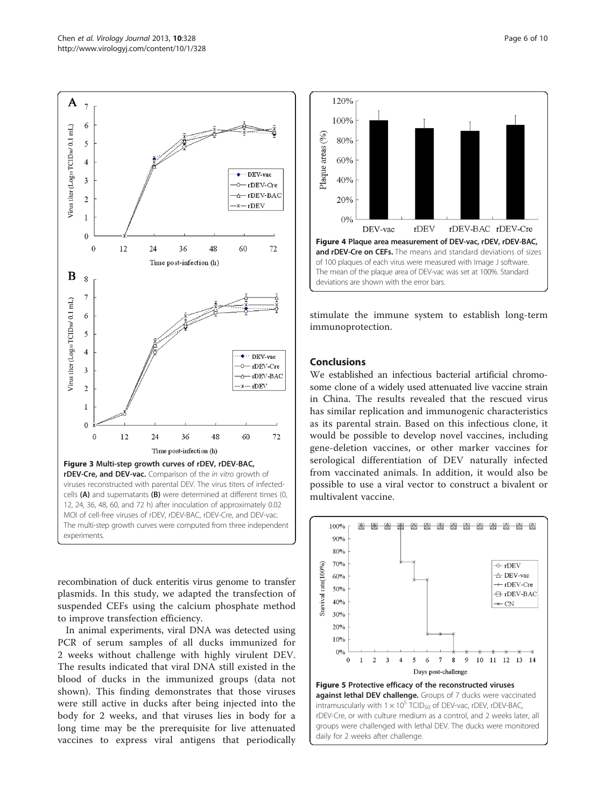<span id="page-5-0"></span>

recombination of duck enteritis virus genome to transfer plasmids. In this study, we adapted the transfection of suspended CEFs using the calcium phosphate method to improve transfection efficiency.

In animal experiments, viral DNA was detected using PCR of serum samples of all ducks immunized for 2 weeks without challenge with highly virulent DEV. The results indicated that viral DNA still existed in the blood of ducks in the immunized groups (data not shown). This finding demonstrates that those viruses were still active in ducks after being injected into the body for 2 weeks, and that viruses lies in body for a long time may be the prerequisite for live attenuated vaccines to express viral antigens that periodically



stimulate the immune system to establish long-term immunoprotection.

#### Conclusions

We established an infectious bacterial artificial chromosome clone of a widely used attenuated live vaccine strain in China. The results revealed that the rescued virus has similar replication and immunogenic characteristics as its parental strain. Based on this infectious clone, it would be possible to develop novel vaccines, including gene-deletion vaccines, or other marker vaccines for serological differentiation of DEV naturally infected from vaccinated animals. In addition, it would also be possible to use a viral vector to construct a bivalent or multivalent vaccine.



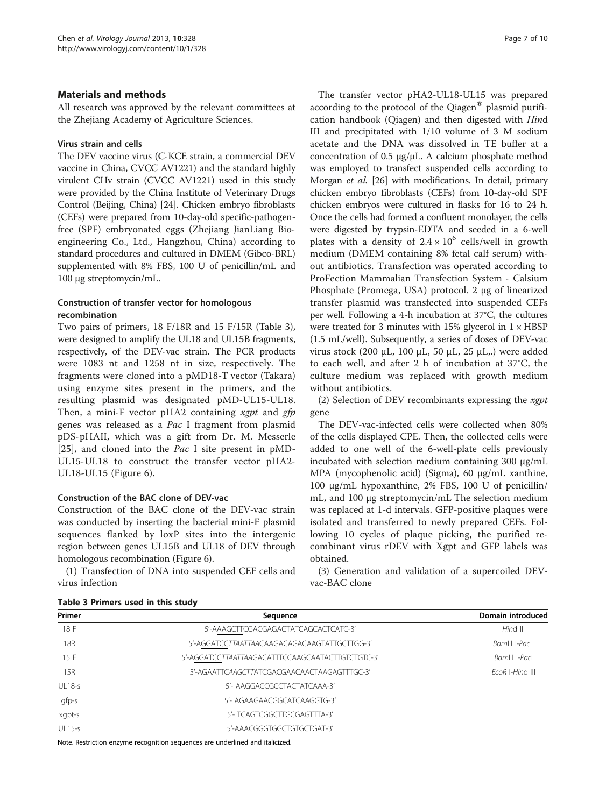# <span id="page-6-0"></span>Materials and methods

All research was approved by the relevant committees at the Zhejiang Academy of Agriculture Sciences.

# Virus strain and cells

The DEV vaccine virus (C-KCE strain, a commercial DEV vaccine in China, CVCC AV1221) and the standard highly virulent CHv strain (CVCC AV1221) used in this study were provided by the China Institute of Veterinary Drugs Control (Beijing, China) [[24](#page-9-0)]. Chicken embryo fibroblasts (CEFs) were prepared from 10-day-old specific-pathogenfree (SPF) embryonated eggs (Zhejiang JianLiang Bioengineering Co., Ltd., Hangzhou, China) according to standard procedures and cultured in DMEM (Gibco-BRL) supplemented with 8% FBS, 100 U of penicillin/mL and 100 μg streptomycin/mL.

# Construction of transfer vector for homologous recombination

Two pairs of primers, 18 F/18R and 15 F/15R (Table 3), were designed to amplify the UL18 and UL15B fragments, respectively, of the DEV-vac strain. The PCR products were 1083 nt and 1258 nt in size, respectively. The fragments were cloned into a pMD18-T vector (Takara) using enzyme sites present in the primers, and the resulting plasmid was designated pMD-UL15-UL18. Then, a mini-F vector pHA2 containing  $xgpt$  and  $gfp$ genes was released as a Pac I fragment from plasmid pDS-pHAII, which was a gift from Dr. M. Messerle [[25\]](#page-9-0), and cloned into the *Pac I* site present in pMD-UL15-UL18 to construct the transfer vector pHA2- UL18-UL15 (Figure [6\)](#page-7-0).

# Construction of the BAC clone of DEV-vac

Construction of the BAC clone of the DEV-vac strain was conducted by inserting the bacterial mini-F plasmid sequences flanked by loxP sites into the intergenic region between genes UL15B and UL18 of DEV through homologous recombination (Figure [6](#page-7-0)).

(1) Transfection of DNA into suspended CEF cells and virus infection

|  | Table 3 Primers used in this study |  |  |  |
|--|------------------------------------|--|--|--|
|--|------------------------------------|--|--|--|

The transfer vector pHA2-UL18-UL15 was prepared according to the protocol of the Qiagen $^{\circledR}$  plasmid purification handbook (Qiagen) and then digested with Hind III and precipitated with 1/10 volume of 3 M sodium acetate and the DNA was dissolved in TE buffer at a concentration of 0.5 μg/μL. A calcium phosphate method was employed to transfect suspended cells according to Morgan et al. [[26](#page-9-0)] with modifications. In detail, primary chicken embryo fibroblasts (CEFs) from 10-day-old SPF chicken embryos were cultured in flasks for 16 to 24 h. Once the cells had formed a confluent monolayer, the cells were digested by trypsin-EDTA and seeded in a 6-well plates with a density of  $2.4 \times 10^6$  cells/well in growth medium (DMEM containing 8% fetal calf serum) without antibiotics. Transfection was operated according to ProFection Mammalian Transfection System - Calsium Phosphate (Promega, USA) protocol. 2 μg of linearized transfer plasmid was transfected into suspended CEFs per well. Following a 4-h incubation at 37°C, the cultures were treated for 3 minutes with 15% glycerol in  $1 \times HBSP$ (1.5 mL/well). Subsequently, a series of doses of DEV-vac virus stock (200 μL, 100 μL, 50 μL, 25 μL,.) were added to each well, and after 2 h of incubation at 37°C, the culture medium was replaced with growth medium without antibiotics.

(2) Selection of DEV recombinants expressing the xgpt gene

The DEV-vac-infected cells were collected when 80% of the cells displayed CPE. Then, the collected cells were added to one well of the 6-well-plate cells previously incubated with selection medium containing 300 μg/mL MPA (mycophenolic acid) (Sigma), 60 μg/mL xanthine, 100 μg/mL hypoxanthine, 2% FBS, 100 U of penicillin/ mL, and 100 μg streptomycin/mL The selection medium was replaced at 1-d intervals. GFP-positive plaques were isolated and transferred to newly prepared CEFs. Following 10 cycles of plaque picking, the purified recombinant virus rDEV with Xgpt and GFP labels was obtained.

(3) Generation and validation of a supercoiled DEVvac-BAC clone

| Primer        | Sequence                                     | Domain introduced |
|---------------|----------------------------------------------|-------------------|
| 18 F          | 5'-AAAGCTTCGACGAGAGTATCAGCACTCATC-3'         | Hind III          |
| 18R           | 5'-AGGATCCTTAATTAACAAGACAGACAAGTATTGCTTGG-3' | BamH I-Pac I      |
| 15F           |                                              | BamH I-Pacl       |
| 15R           | 5'-AGAATTCAAGCTTATCGACGAACAACTAAGAGTTTGC-3'  | FroR I-Hind III   |
| <b>UL18-s</b> | 5'- AAGGACCGCCTACTATCAAA-3'                  |                   |
| gfp-s         | 5'- AGAAGAACGGCATCAAGGTG-3'                  |                   |
| xgpt-s        | 5'- TCAGTCGGCTTGCGAGTTTA-3'                  |                   |
| $UL15-s$      | 5'-AAACGGGTGGCTGTGCTGAT-3'                   |                   |

Note. Restriction enzyme recognition sequences are underlined and italicized.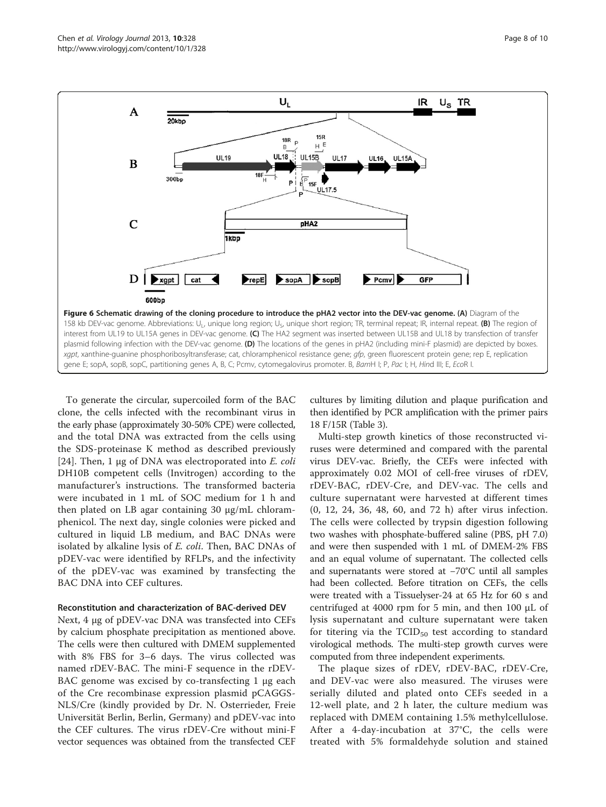<span id="page-7-0"></span>

To generate the circular, supercoiled form of the BAC clone, the cells infected with the recombinant virus in the early phase (approximately 30-50% CPE) were collected, and the total DNA was extracted from the cells using the SDS-proteinase K method as described previously [[24\]](#page-9-0). Then, 1  $\mu$ g of DNA was electroporated into *E. coli* DH10B competent cells (Invitrogen) according to the manufacturer's instructions. The transformed bacteria were incubated in 1 mL of SOC medium for 1 h and then plated on LB agar containing 30 μg/mL chloramphenicol. The next day, single colonies were picked and cultured in liquid LB medium, and BAC DNAs were isolated by alkaline lysis of E. coli. Then, BAC DNAs of pDEV-vac were identified by RFLPs, and the infectivity of the pDEV-vac was examined by transfecting the BAC DNA into CEF cultures.

#### Reconstitution and characterization of BAC-derived DEV

Next, 4 μg of pDEV-vac DNA was transfected into CEFs by calcium phosphate precipitation as mentioned above. The cells were then cultured with DMEM supplemented with 8% FBS for 3–6 days. The virus collected was named rDEV-BAC. The mini-F sequence in the rDEV-BAC genome was excised by co-transfecting 1 μg each of the Cre recombinase expression plasmid pCAGGS-NLS/Cre (kindly provided by Dr. N. Osterrieder, Freie Universität Berlin, Berlin, Germany) and pDEV-vac into the CEF cultures. The virus rDEV-Cre without mini-F vector sequences was obtained from the transfected CEF cultures by limiting dilution and plaque purification and then identified by PCR amplification with the primer pairs 18 F/15R (Table [3\)](#page-6-0).

Multi-step growth kinetics of those reconstructed viruses were determined and compared with the parental virus DEV-vac. Briefly, the CEFs were infected with approximately 0.02 MOI of cell-free viruses of rDEV, rDEV-BAC, rDEV-Cre, and DEV-vac. The cells and culture supernatant were harvested at different times (0, 12, 24, 36, 48, 60, and 72 h) after virus infection. The cells were collected by trypsin digestion following two washes with phosphate-buffered saline (PBS, pH 7.0) and were then suspended with 1 mL of DMEM-2% FBS and an equal volume of supernatant. The collected cells and supernatants were stored at −70°C until all samples had been collected. Before titration on CEFs, the cells were treated with a Tissuelyser-24 at 65 Hz for 60 s and centrifuged at 4000 rpm for 5 min, and then 100 μL of lysis supernatant and culture supernatant were taken for titering via the  $TCID_{50}$  test according to standard virological methods. The multi-step growth curves were computed from three independent experiments.

The plaque sizes of rDEV, rDEV-BAC, rDEV-Cre, and DEV-vac were also measured. The viruses were serially diluted and plated onto CEFs seeded in a 12-well plate, and 2 h later, the culture medium was replaced with DMEM containing 1.5% methylcellulose. After a 4-day-incubation at 37°C, the cells were treated with 5% formaldehyde solution and stained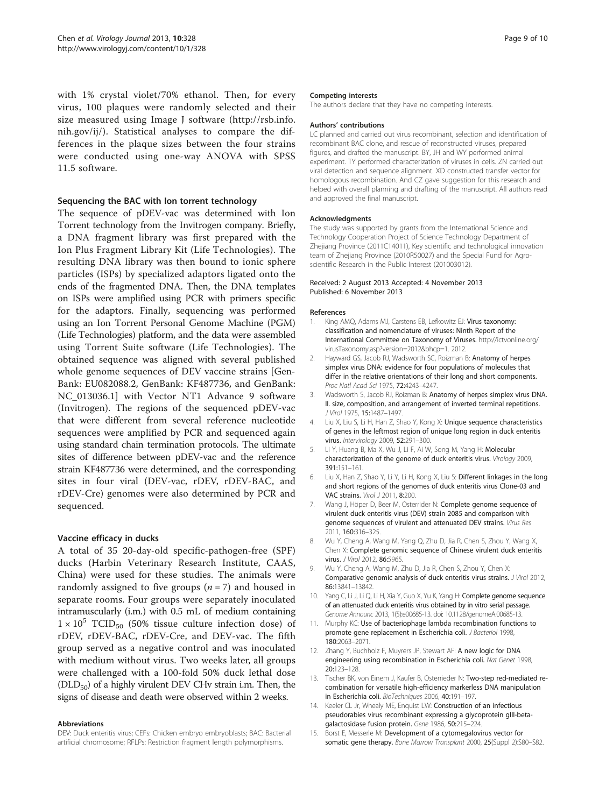<span id="page-8-0"></span>with 1% crystal violet/70% ethanol. Then, for every virus, 100 plaques were randomly selected and their size measured using Image J software ([http://rsb.info.](http://rsb.info.nih.gov/ij/) [nih.gov/ij/\)](http://rsb.info.nih.gov/ij/). Statistical analyses to compare the differences in the plaque sizes between the four strains were conducted using one-way ANOVA with SPSS 11.5 software.

#### Sequencing the BAC with Ion torrent technology

The sequence of pDEV-vac was determined with Ion Torrent technology from the Invitrogen company. Briefly, a DNA fragment library was first prepared with the Ion Plus Fragment Library Kit (Life Technologies). The resulting DNA library was then bound to ionic sphere particles (ISPs) by specialized adaptors ligated onto the ends of the fragmented DNA. Then, the DNA templates on ISPs were amplified using PCR with primers specific for the adaptors. Finally, sequencing was performed using an Ion Torrent Personal Genome Machine (PGM) (Life Technologies) platform, and the data were assembled using Torrent Suite software (Life Technologies). The obtained sequence was aligned with several published whole genome sequences of DEV vaccine strains [Gen-Bank: EU082088.2, GenBank: KF487736, and GenBank: NC\_013036.1] with Vector NT1 Advance 9 software (Invitrogen). The regions of the sequenced pDEV-vac that were different from several reference nucleotide sequences were amplified by PCR and sequenced again using standard chain termination protocols. The ultimate sites of difference between pDEV-vac and the reference strain KF487736 were determined, and the corresponding sites in four viral (DEV-vac, rDEV, rDEV-BAC, and rDEV-Cre) genomes were also determined by PCR and sequenced.

#### Vaccine efficacy in ducks

A total of 35 20-day-old specific-pathogen-free (SPF) ducks (Harbin Veterinary Research Institute, CAAS, China) were used for these studies. The animals were randomly assigned to five groups ( $n = 7$ ) and housed in separate rooms. Four groups were separately inoculated intramuscularly (i.m.) with 0.5 mL of medium containing  $1 \times 10^5$  TCID<sub>50</sub> (50% tissue culture infection dose) of rDEV, rDEV-BAC, rDEV-Cre, and DEV-vac. The fifth group served as a negative control and was inoculated with medium without virus. Two weeks later, all groups were challenged with a 100-fold 50% duck lethal dose  $(DLD_{50})$  of a highly virulent DEV CHv strain i.m. Then, the signs of disease and death were observed within 2 weeks.

#### Abbreviations

DEV: Duck enteritis virus; CEFs: Chicken embryo embryoblasts; BAC: Bacterial artificial chromosome; RFLPs: Restriction fragment length polymorphisms.

#### Competing interests

The authors declare that they have no competing interests.

#### Authors' contributions

LC planned and carried out virus recombinant, selection and identification of recombinant BAC clone, and rescue of reconstructed viruses, prepared figures, and drafted the manuscript. BY, JH and WY performed animal experiment. TY performed characterization of viruses in cells. ZN carried out viral detection and sequence alignment. XD constructed transfer vector for homologous recombination. And CZ gave suggestion for this research and helped with overall planning and drafting of the manuscript. All authors read and approved the final manuscript.

#### Acknowledgments

The study was supported by grants from the International Science and Technology Cooperation Project of Science Technology Department of Zhejiang Province (2011C14011), Key scientific and technological innovation team of Zhejiang Province (2010R50027) and the Special Fund for Agroscientific Research in the Public Interest (201003012).

#### Received: 2 August 2013 Accepted: 4 November 2013 Published: 6 November 2013

#### References

- King AMQ, Adams MJ, Carstens EB, Lefkowitz EJ: Virus taxonomy: classification and nomenclature of viruses: Ninth Report of the International Committee on Taxonomy of Viruses. [http://ictvonline.org/](http://ictvonline.org/virusTaxonomy.asp?version=2012&bhcp=1) [virusTaxonomy.asp?version=2012&bhcp=1](http://ictvonline.org/virusTaxonomy.asp?version=2012&bhcp=1). 2012.
- 2. Hayward GS, Jacob RJ, Wadsworth SC, Roizman B: Anatomy of herpes simplex virus DNA: evidence for four populations of molecules that differ in the relative orientations of their long and short components. Proc Natl Acad Sci 1975, 72:4243–4247.
- 3. Wadsworth S, Jacob RJ, Roizman B: Anatomy of herpes simplex virus DNA. II. size, composition, and arrangement of inverted terminal repetitions. J Virol 1975, 15:1487–1497.
- 4. Liu X, Liu S, Li H, Han Z, Shao Y, Kong X: Unique sequence characteristics of genes in the leftmost region of unique long region in duck enteritis virus. Intervirology 2009, 52:291–300.
- Li Y, Huang B, Ma X, Wu J, Li F, Ai W, Song M, Yang H: Molecular characterization of the genome of duck enteritis virus. Virology 2009, 391:151–161.
- 6. Liu X, Han Z, Shao Y, Li Y, Li H, Kong X, Liu S: Different linkages in the long and short regions of the genomes of duck enteritis virus Clone-03 and VAC strains. Virol J 2011, 8:200.
- 7. Wang J, Höper D, Beer M, Osterrider N: Complete genome sequence of virulent duck enteritis virus (DEV) strain 2085 and comparison with genome sequences of virulent and attenuated DEV strains. Virus Res 2011, 160:316–325.
- 8. Wu Y, Cheng A, Wang M, Yang Q, Zhu D, Jia R, Chen S, Zhou Y, Wang X, Chen X: Complete genomic sequence of Chinese virulent duck enteritis virus. J Virol 2012, 86:5965.
- 9. Wu Y, Cheng A, Wang M, Zhu D, Jia R, Chen S, Zhou Y, Chen X: Comparative genomic analysis of duck enteritis virus strains. J Virol 2012, 86:13841–13842.
- 10. Yang C, Li J, Li Q, Li H, Xia Y, Guo X, Yu K, Yang H: Complete genome sequence of an attenuated duck enteritis virus obtained by in vitro serial passage. Genome Announc 2013, 1(5):e00685-13. doi: 10.1128/genomeA.00685-13.
- 11. Murphy KC: Use of bacteriophage lambda recombination functions to promote gene replacement in Escherichia coli. J Bacteriol 1998, 180:2063–2071.
- 12. Zhang Y, Buchholz F, Muyrers JP, Stewart AF: A new logic for DNA engineering using recombination in Escherichia coli. Nat Genet 1998, 20:123–128.
- 13. Tischer BK, von Einem J, Kaufer B, Osterrieder N: Two-step red-mediated recombination for versatile high-efficiency markerless DNA manipulation in Escherichia coli. BioTechniques 2006, 40:191–197.
- 14. Keeler CL Jr, Whealy ME, Enquist LW: Construction of an infectious pseudorabies virus recombinant expressing a glycoprotein gIII-betagalactosidase fusion protein. Gene 1986, 50:215–224.
- 15. Borst E, Messerle M: Development of a cytomegalovirus vector for somatic gene therapy. Bone Marrow Transplant 2000, 25(Suppl 2):S80-S82.